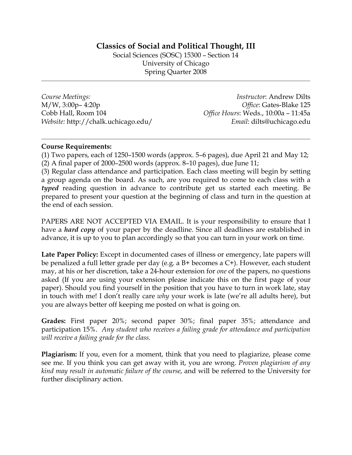## **Classics of Social and Political Thought, III**

Social Sciences (SOSC) 15300 – Section 14 University of Chicago Spring Quarter 2008

*Course Meetings:*  M/W, 3:00p– 4:20p Cobb Hall, Room 104 *Website:* http://chalk.uchicago.edu/

*Instructor*: Andrew Dilts *Office*: Gates-Blake 125 *Office Hours*: Weds., 10:00a – 11:45a *Email*: dilts@uchicago.edu

#### **Course Requirements:**

(1) Two papers, each of 1250–1500 words (approx. 5–6 pages), due April 21 and May 12; (2) A final paper of 2000–2500 words (approx. 8–10 pages), due June 11;

(3) Regular class attendance and participation. Each class meeting will begin by setting a group agenda on the board. As such, are you required to come to each class with a *typed* reading question in advance to contribute get us started each meeting. Be prepared to present your question at the beginning of class and turn in the question at the end of each session.

PAPERS ARE NOT ACCEPTED VIA EMAIL. It is your responsibility to ensure that I have a *hard copy* of your paper by the deadline. Since all deadlines are established in advance, it is up to you to plan accordingly so that you can turn in your work on time.

**Late Paper Policy:** Except in documented cases of illness or emergency, late papers will be penalized a full letter grade per day (e.g. a B+ becomes a C+). However, each student may, at his or her discretion, take a 24-hour extension for *one* of the papers, no questions asked (If you are using your extension please indicate this on the first page of your paper). Should you find yourself in the position that you have to turn in work late, stay in touch with me! I don't really care *why* your work is late (we're all adults here), but you are always better off keeping me posted on what is going on.

**Grades:** First paper 20%; second paper 30%; final paper 35%; attendance and participation 15%. *Any student who receives a failing grade for attendance and participation will receive a failing grade for the class*.

**Plagiarism:** If you, even for a moment, think that you need to plagiarize, please come see me. If you think you can get away with it, you are wrong. *Proven plagiarism of any kind may result in automatic failure of the course*, and will be referred to the University for further disciplinary action.